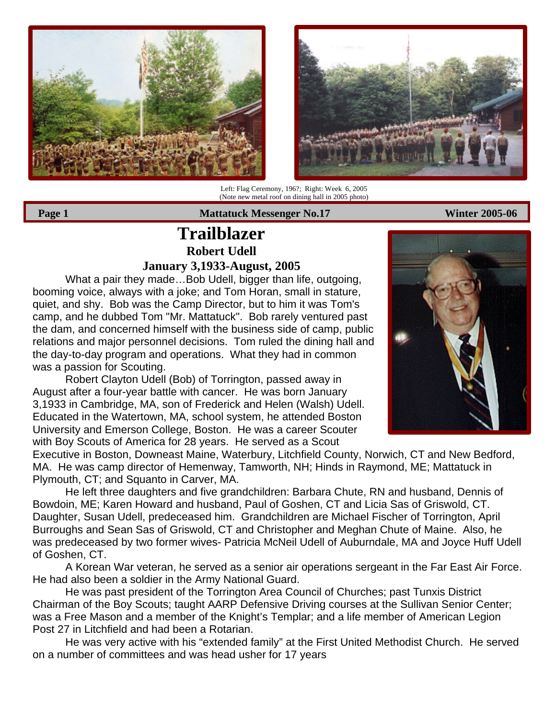



Left: Flag Ceremony, 196?; Right: Week 6, 2005 (Note new metal roof on dining hall in 2005 photo)

Page 1 **Mattatuck Messenger No.17** Winter 2005-06

## **Trailblazer Robert Udell January 3,1933-August, 2005**

What a pair they made…Bob Udell, bigger than life, outgoing, booming voice, always with a joke; and Tom Horan, small in stature, quiet, and shy. Bob was the Camp Director, but to him it was Tom's camp, and he dubbed Tom "Mr. Mattatuck". Bob rarely ventured past the dam, and concerned himself with the business side of camp, public relations and major personnel decisions. Tom ruled the dining hall and the day-to-day program and operations. What they had in common was a passion for Scouting.

Robert Clayton Udell (Bob) of Torrington, passed away in August after a four-year battle with cancer. He was born January 3,1933 in Cambridge, MA, son of Frederick and Helen (Walsh) Udell. Educated in the Watertown, MA, school system, he attended Boston University and Emerson College, Boston. He was a career Scouter with Boy Scouts of America for 28 years. He served as a Scout

Executive in Boston, Downeast Maine, Waterbury, Litchfield County, Norwich, CT and New Bedford, MA. He was camp director of Hemenway, Tamworth, NH; Hinds in Raymond, ME; Mattatuck in Plymouth, CT; and Squanto in Carver, MA.

He left three daughters and five grandchildren: Barbara Chute, RN and husband, Dennis of Bowdoin, ME; Karen Howard and husband, Paul of Goshen, CT and Licia Sas of Griswold, CT. Daughter, Susan Udell, predeceased him. Grandchildren are Michael Fischer of Torrington, April Burroughs and Sean Sas of Griswold, CT and Christopher and Meghan Chute of Maine. Also, he was predeceased by two former wives- Patricia McNeil Udell of Auburndale, MA and Joyce Huff Udell of Goshen, CT.

A Korean War veteran, he served as a senior air operations sergeant in the Far East Air Force. He had also been a soldier in the Army National Guard.

He was past president of the Torrington Area Council of Churches; past Tunxis District Chairman of the Boy Scouts; taught AARP Defensive Driving courses at the Sullivan Senior Center; was a Free Mason and a member of the Knight's Templar; and a life member of American Legion Post 27 in Litchfield and had been a Rotarian.

He was very active with his "extended family" at the First United Methodist Church. He served on a number of committees and was head usher for 17 years

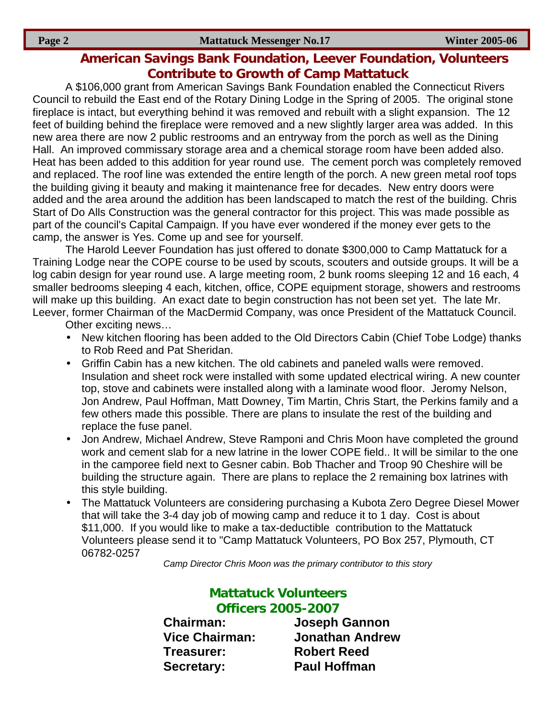## **American Savings Bank Foundation, Leever Foundation, Volunteers Contribute to Growth of Camp Mattatuck**

A \$106,000 grant from American Savings Bank Foundation enabled the Connecticut Rivers Council to rebuild the East end of the Rotary Dining Lodge in the Spring of 2005. The original stone fireplace is intact, but everything behind it was removed and rebuilt with a slight expansion. The 12 feet of building behind the fireplace were removed and a new slightly larger area was added. In this new area there are now 2 public restrooms and an entryway from the porch as well as the Dining Hall. An improved commissary storage area and a chemical storage room have been added also. Heat has been added to this addition for year round use. The cement porch was completely removed and replaced. The roof line was extended the entire length of the porch. A new green metal roof tops the building giving it beauty and making it maintenance free for decades. New entry doors were added and the area around the addition has been landscaped to match the rest of the building. Chris Start of Do Alls Construction was the general contractor for this project. This was made possible as part of the council's Capital Campaign. If you have ever wondered if the money ever gets to the camp, the answer is Yes. Come up and see for yourself.

The Harold Leever Foundation has just offered to donate \$300,000 to Camp Mattatuck for a Training Lodge near the COPE course to be used by scouts, scouters and outside groups. It will be a log cabin design for year round use. A large meeting room, 2 bunk rooms sleeping 12 and 16 each, 4 smaller bedrooms sleeping 4 each, kitchen, office, COPE equipment storage, showers and restrooms will make up this building. An exact date to begin construction has not been set yet. The late Mr. Leever, former Chairman of the MacDermid Company, was once President of the Mattatuck Council.

Other exciting news…

- New kitchen flooring has been added to the Old Directors Cabin (Chief Tobe Lodge) thanks to Rob Reed and Pat Sheridan.
- Griffin Cabin has a new kitchen. The old cabinets and paneled walls were removed. Insulation and sheet rock were installed with some updated electrical wiring. A new counter top, stove and cabinets were installed along with a laminate wood floor. Jeromy Nelson, Jon Andrew, Paul Hoffman, Matt Downey, Tim Martin, Chris Start, the Perkins family and a few others made this possible. There are plans to insulate the rest of the building and replace the fuse panel.
- Jon Andrew, Michael Andrew, Steve Ramponi and Chris Moon have completed the ground work and cement slab for a new latrine in the lower COPE field.. It will be similar to the one in the camporee field next to Gesner cabin. Bob Thacher and Troop 90 Cheshire will be building the structure again. There are plans to replace the 2 remaining box latrines with this style building.
- The Mattatuck Volunteers are considering purchasing a Kubota Zero Degree Diesel Mower that will take the 3-4 day job of mowing camp and reduce it to 1 day. Cost is about \$11,000. If you would like to make a tax-deductible contribution to the Mattatuck Volunteers please send it to "Camp Mattatuck Volunteers, PO Box 257, Plymouth, CT 06782-0257

*Camp Director Chris Moon was the primary contributor to this story*

## **Mattatuck Volunteers Officers 2005-2007**

**Treasurer: Robert Reed Secretary: Paul Hoffman**

**Chairman: Joseph Gannon Vice Chairman: Jonathan Andrew**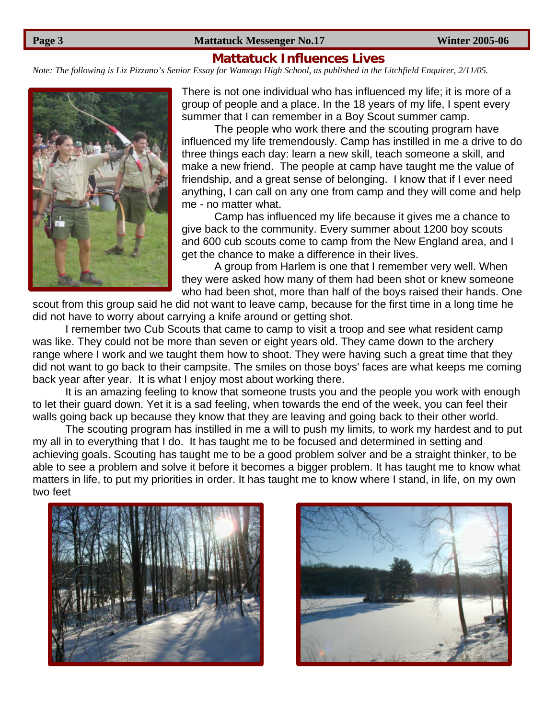#### **Page 3** Mattatuck Messenger No.17 Winter 2005-06

#### **Mattatuck Influences Lives**

*Note: The following is Liz Pizzano's Senior Essay for Wamogo High School, as published in the Litchfield Enquirer, 2/11/05.*



There is not one individual who has influenced my life; it is more of a group of people and a place. In the 18 years of my life, I spent every summer that I can remember in a Boy Scout summer camp.

The people who work there and the scouting program have influenced my life tremendously. Camp has instilled in me a drive to do three things each day: learn a new skill, teach someone a skill, and make a new friend. The people at camp have taught me the value of friendship, and a great sense of belonging. I know that if I ever need anything, I can call on any one from camp and they will come and help me - no matter what.

Camp has influenced my life because it gives me a chance to give back to the community. Every summer about 1200 boy scouts and 600 cub scouts come to camp from the New England area, and I get the chance to make a difference in their lives.

A group from Harlem is one that I remember very well. When they were asked how many of them had been shot or knew someone who had been shot, more than half of the boys raised their hands. One

scout from this group said he did not want to leave camp, because for the first time in a long time he did not have to worry about carrying a knife around or getting shot.

I remember two Cub Scouts that came to camp to visit a troop and see what resident camp was like. They could not be more than seven or eight years old. They came down to the archery range where I work and we taught them how to shoot. They were having such a great time that they did not want to go back to their campsite. The smiles on those boys' faces are what keeps me coming back year after year. It is what I enjoy most about working there.

It is an amazing feeling to know that someone trusts you and the people you work with enough to let their guard down. Yet it is a sad feeling, when towards the end of the week, you can feel their walls going back up because they know that they are leaving and going back to their other world.

The scouting program has instilled in me a will to push my limits, to work my hardest and to put my all in to everything that I do. It has taught me to be focused and determined in setting and achieving goals. Scouting has taught me to be a good problem solver and be a straight thinker, to be able to see a problem and solve it before it becomes a bigger problem. It has taught me to know what matters in life, to put my priorities in order. It has taught me to know where I stand, in life, on my own two feet



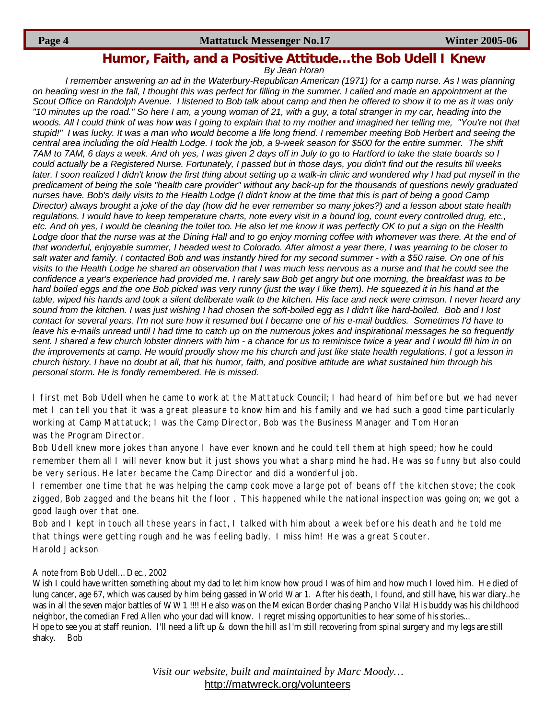#### **Page 4** Mattatuck Messenger No.17 Winter 2005-06

### **Humor, Faith, and a Positive Attitude…the Bob Udell I Knew**

*By Jean Horan*

*I remember answering an ad in the Waterbury-Republican American (1971) for a camp nurse. As I was planning on heading west in the fall, I thought this was perfect for filling in the summer. I called and made an appointment at the Scout Office on Randolph Avenue. I listened to Bob talk about camp and then he offered to show it to me as it was only "10 minutes up the road." So here I am, a young woman of 21, with a guy, a total stranger in my car, heading into the woods. All I could think of was how was I going to explain that to my mother and imagined her telling me, "You're not that stupid!" I was lucky. It was a man who would become a life long friend. I remember meeting Bob Herbert and seeing the central area including the old Health Lodge. I took the job, a 9-week season for \$500 for the entire summer. The shift 7AM to 7AM, 6 days a week. And oh yes, I was given 2 days off in July to go to Hartford to take the state boards so I could actually be a Registered Nurse. Fortunately, I passed but in those days, you didn't find out the results till weeks later. I soon realized I didn't know the first thing about setting up a walk-in clinic and wondered why I had put myself in the predicament of being the sole "health care provider" without any back-up for the thousands of questions newly graduated nurses have. Bob's daily visits to the Health Lodge (I didn't know at the time that this is part of being a good Camp Director) always brought a joke of the day (how did he ever remember so many jokes?) and a lesson about state health regulations. I would have to keep temperature charts, note every visit in a bound log, count every controlled drug, etc., etc. And oh yes, I would be cleaning the toilet too. He also let me know it was perfectly OK to put a sign on the Health Lodge door that the nurse was at the Dining Hall and to go enjoy morning coffee with whomever was there. At the end of that wonderful, enjoyable summer, I headed west to Colorado. After almost a year there, I was yearning to be closer to salt water and family. I contacted Bob and was instantly hired for my second summer - with a \$50 raise. On one of his visits to the Health Lodge he shared an observation that I was much less nervous as a nurse and that he could see the confidence a year's experience had provided me. I rarely saw Bob get angry but one morning, the breakfast was to be hard boiled eggs and the one Bob picked was very runny (just the way I like them). He squeezed it in his hand at the table, wiped his hands and took a silent deliberate walk to the kitchen. His face and neck were crimson. I never heard any sound from the kitchen. I was just wishing I had chosen the soft-boiled egg as I didn't like hard-boiled. Bob and I lost contact for several years. I'm not sure how it resumed but I became one of his e-mail buddies. Sometimes I'd have to leave his e-mails unread until I had time to catch up on the numerous jokes and inspirational messages he so frequently sent. I shared a few church lobster dinners with him - a chance for us to reminisce twice a year and I would fill him in on the improvements at camp. He would proudly show me his church and just like state health regulations, I got a lesson in church history. I have no doubt at all, that his humor, faith, and positive attitude are what sustained him through his personal storm. He is fondly remembered. He is missed.*

I first met Bob Udell when he came to work at the Mattatuck Council; I had heard of him before but we had never met I can tell you that it was a great pleasure to know him and his family and we had such a good time particularly working at Camp Mattatuck; I was the Camp Director, Bob was the Business Manager and Tom Horan was the Program Director.

Bob Udell knew more jokes than anyone I have ever known and he could tell them at high speed; how he could remember them all I will never know but it just shows you what a sharp mind he had. He was so funny but also could be very serious. He later became the Camp Director and did a wonderful job.

I remember one time that he was helping the camp cook move a large pot of beans off the kitchen stove; the cook zigged, Bob zagged and the beans hit the floor . This happened while the national inspection was going on; we got a good laugh over that one.

Bob and I kept in touch all these years in fact, I talked with him about a week before his death and he told me that things were getting rough and he was feeling badly. I miss him! He was a great Scouter. Harold Jackson

#### A note from Bob Udell…Dec., 2002

Wish I could have written something about my dad to let him know how proud I was of him and how much I loved him. He died of lung cancer, age 67, which was caused by him being gassed in World War 1. After his death, I found, and still have, his war diary..he was in all the seven major battles of WW1 !!!! He also was on the Mexican Border chasing Pancho Vila! His buddy was his childhood neighbor, the comedian Fred Allen who your dad will know. I regret missing opportunities to hear some of his stories... Hope to see you at staff reunion. I'll need a lift up & down the hill as I'm still recovering from spinal surgery and my legs are still shaky. Bob

> *Visit our website, built and maintained by Marc Moody…* http://matwreck.org/volunteers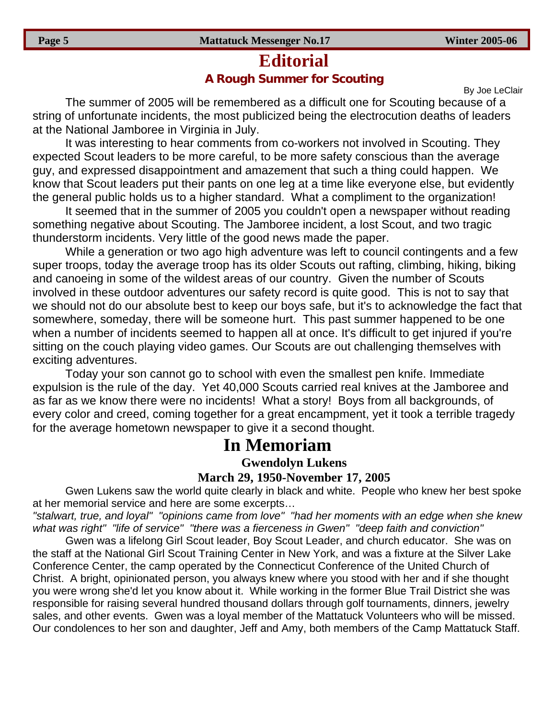## **Editorial A Rough Summer for Scouting**

By Joe LeClair

The summer of 2005 will be remembered as a difficult one for Scouting because of a string of unfortunate incidents, the most publicized being the electrocution deaths of leaders at the National Jamboree in Virginia in July.

It was interesting to hear comments from co-workers not involved in Scouting. They expected Scout leaders to be more careful, to be more safety conscious than the average guy, and expressed disappointment and amazement that such a thing could happen. We know that Scout leaders put their pants on one leg at a time like everyone else, but evidently the general public holds us to a higher standard. What a compliment to the organization!

It seemed that in the summer of 2005 you couldn't open a newspaper without reading something negative about Scouting. The Jamboree incident, a lost Scout, and two tragic thunderstorm incidents. Very little of the good news made the paper.

While a generation or two ago high adventure was left to council contingents and a few super troops, today the average troop has its older Scouts out rafting, climbing, hiking, biking and canoeing in some of the wildest areas of our country. Given the number of Scouts involved in these outdoor adventures our safety record is quite good. This is not to say that we should not do our absolute best to keep our boys safe, but it's to acknowledge the fact that somewhere, someday, there will be someone hurt. This past summer happened to be one when a number of incidents seemed to happen all at once. It's difficult to get injured if you're sitting on the couch playing video games. Our Scouts are out challenging themselves with exciting adventures.

Today your son cannot go to school with even the smallest pen knife. Immediate expulsion is the rule of the day. Yet 40,000 Scouts carried real knives at the Jamboree and as far as we know there were no incidents! What a story! Boys from all backgrounds, of every color and creed, coming together for a great encampment, yet it took a terrible tragedy for the average hometown newspaper to give it a second thought.

# **In Memoriam**

**Gwendolyn Lukens March 29, 1950-November 17, 2005**

Gwen Lukens saw the world quite clearly in black and white. People who knew her best spoke at her memorial service and here are some excerpts…

*"stalwart, true, and loyal" "opinions came from love" "had her moments with an edge when she knew what was right" "life of service" "there was a fierceness in Gwen" "deep faith and conviction"*

Gwen was a lifelong Girl Scout leader, Boy Scout Leader, and church educator. She was on the staff at the National Girl Scout Training Center in New York, and was a fixture at the Silver Lake Conference Center, the camp operated by the Connecticut Conference of the United Church of Christ. A bright, opinionated person, you always knew where you stood with her and if she thought you were wrong she'd let you know about it. While working in the former Blue Trail District she was responsible for raising several hundred thousand dollars through golf tournaments, dinners, jewelry sales, and other events. Gwen was a loyal member of the Mattatuck Volunteers who will be missed. Our condolences to her son and daughter, Jeff and Amy, both members of the Camp Mattatuck Staff.